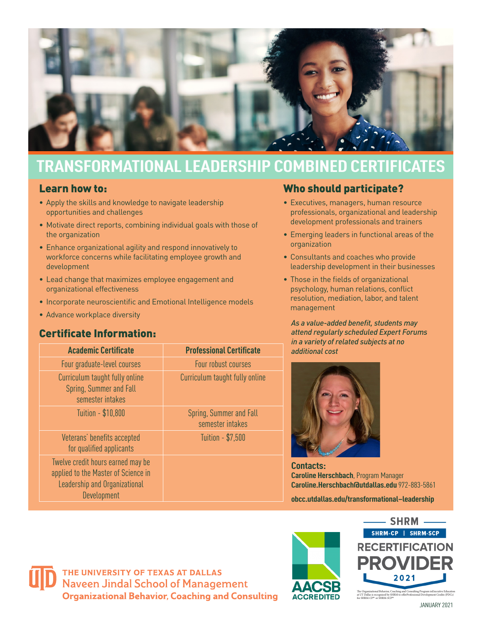

## **TRANSFORMATIONAL LEADERSHIP COMBINED CERTIFICATES**

## Learn how to:

- Apply the skills and knowledge to navigate leadership opportunities and challenges
- Motivate direct reports, combining individual goals with those of the organization
- Enhance organizational agility and respond innovatively to workforce concerns while facilitating employee growth and development
- Lead change that maximizes employee engagement and organizational effectiveness
- Incorporate neuroscientific and Emotional Intelligence models
- Advance workplace diversity

## Certificate Information:

| <b>Academic Certificate</b>                                                                                              | <b>Professional Certificate</b>             |
|--------------------------------------------------------------------------------------------------------------------------|---------------------------------------------|
| Four graduate-level courses                                                                                              | Four robust courses                         |
| Curriculum taught fully online<br>Spring, Summer and Fall<br>semester intakes                                            | Curriculum taught fully online              |
| Tuition - \$10,800                                                                                                       | Spring, Summer and Fall<br>semester intakes |
| Veterans' benefits accepted<br>for qualified applicants                                                                  | Tuition - \$7,500                           |
| Twelve credit hours earned may be<br>applied to the Master of Science in<br>Leadership and Organizational<br>Development |                                             |

## Who should participate?

- Executives, managers, human resource professionals, organizational and leadership development professionals and trainers
- Emerging leaders in functional areas of the organization
- Consultants and coaches who provide leadership development in their businesses
- Those in the fields of organizational psychology, human relations, conflict resolution, mediation, labor, and talent management

*As a value-added benefit, students may attend regularly scheduled Expert Forums in a variety of related subjects at no additional cost*



**Contacts: Caroline Herschbach**, Program Manager **Caroline.Herschbach@utdallas.edu** 972-883-5861

**obcc.utdallas.edu/transformational–leadership**



THE UNIVERSITY OF TEXAS AT DALLAS **Naveen Jindal School of Management Organizational Behavior, Coaching and Consulting**